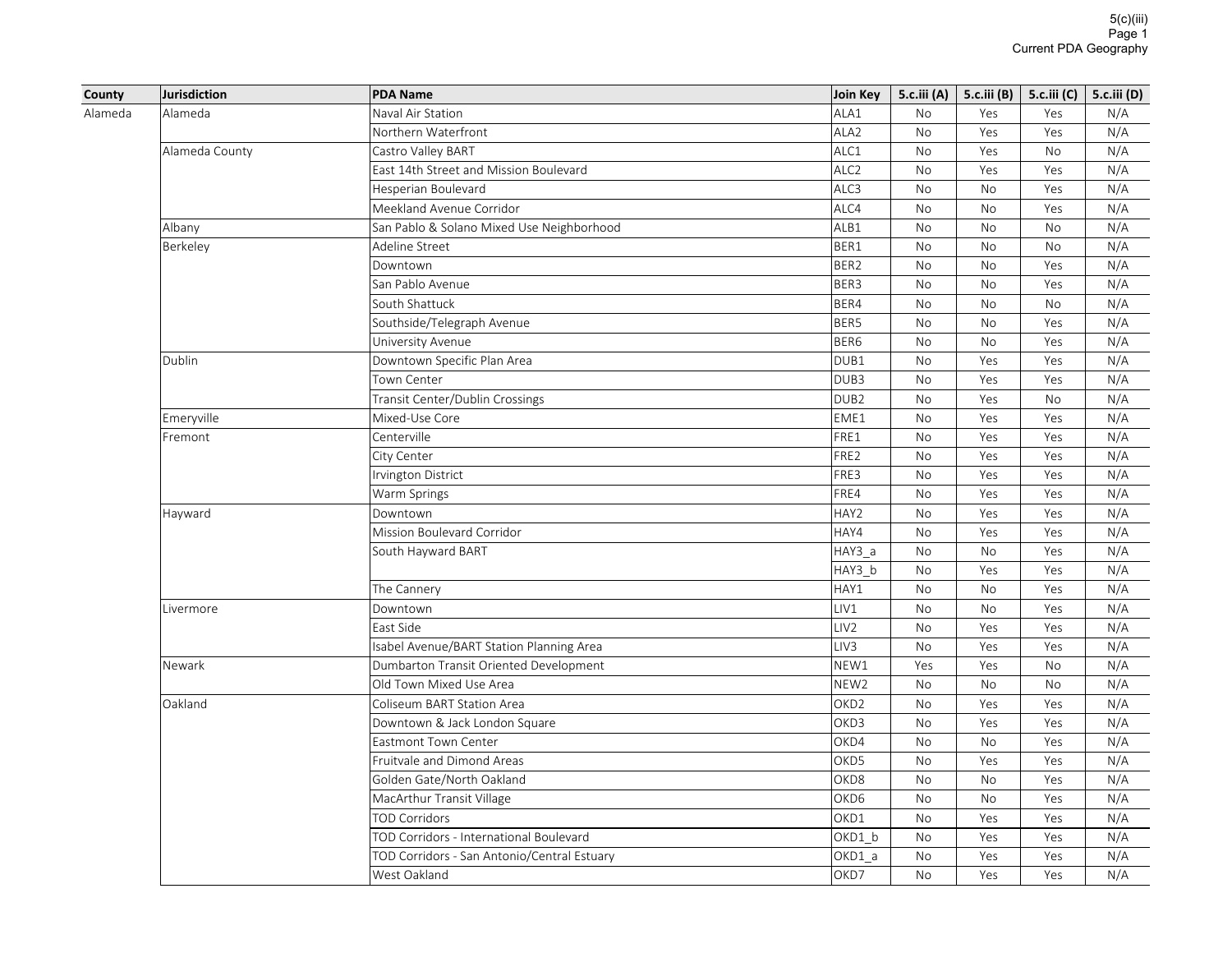| County  | <b>Jurisdiction</b> | <b>PDA Name</b>                             | Join Key         | 5.c.iii(A) | 5.c.iii (B) | 5.c.iii (C) | 5.c.iii (D) |
|---------|---------------------|---------------------------------------------|------------------|------------|-------------|-------------|-------------|
| Alameda | Alameda             | Naval Air Station                           | ALA1             | <b>No</b>  | Yes         | Yes         | N/A         |
|         |                     | Northern Waterfront                         | ALA <sub>2</sub> | No         | Yes         | Yes         | N/A         |
|         | Alameda County      | Castro Valley BART                          | ALC1             | No         | Yes         | No          | N/A         |
|         |                     | East 14th Street and Mission Boulevard      | ALC <sub>2</sub> | No         | Yes         | Yes         | N/A         |
|         |                     | Hesperian Boulevard                         | ALC3             | <b>No</b>  | <b>No</b>   | Yes         | N/A         |
|         |                     | Meekland Avenue Corridor                    | ALC4             | No         | No          | Yes         | N/A         |
|         | Albany              | San Pablo & Solano Mixed Use Neighborhood   | ALB1             | <b>No</b>  | <b>No</b>   | <b>No</b>   | N/A         |
|         | Berkeley            | Adeline Street                              | BER1             | No         | No          | No          | N/A         |
|         |                     | Downtown                                    | BER <sub>2</sub> | <b>No</b>  | <b>No</b>   | Yes         | N/A         |
|         |                     | San Pablo Avenue                            | BER <sub>3</sub> | No         | No          | Yes         | N/A         |
|         |                     | South Shattuck                              | BER4             | <b>No</b>  | <b>No</b>   | <b>No</b>   | N/A         |
|         |                     | Southside/Telegraph Avenue                  | BER5             | No         | No          | Yes         | N/A         |
|         |                     | University Avenue                           | BER <sub>6</sub> | <b>No</b>  | <b>No</b>   | Yes         | N/A         |
|         | Dublin              | Downtown Specific Plan Area                 | DUB1             | No         | Yes         | Yes         | N/A         |
|         |                     | Town Center                                 | DUB3             | <b>No</b>  | Yes         | Yes         | N/A         |
|         |                     | Transit Center/Dublin Crossings             | DUB <sub>2</sub> | No         | Yes         | No          | N/A         |
|         | Emeryville          | Mixed-Use Core                              | EME1             | <b>No</b>  | Yes         | Yes         | N/A         |
|         | Fremont             | Centerville                                 | FRE1             | No         | Yes         | Yes         | N/A         |
|         |                     | City Center                                 | FRE2             | <b>No</b>  | Yes         | Yes         | N/A         |
|         |                     | Irvington District                          | FRE3             | No         | Yes         | Yes         | N/A         |
|         |                     | Warm Springs                                | FRE4             | No         | Yes         | Yes         | N/A         |
|         | Hayward             | Downtown                                    | HAY2             | No         | Yes         | Yes         | N/A         |
|         |                     | Mission Boulevard Corridor                  | HAY4             | No         | Yes         | Yes         | N/A         |
|         |                     | South Hayward BART                          | HAY3_a           | No         | No          | Yes         | N/A         |
|         |                     |                                             | HAY3_b           | No         | Yes         | Yes         | N/A         |
|         |                     | The Cannery                                 | HAY1             | No         | No          | Yes         | N/A         |
|         | Livermore           | Downtown                                    | LIV1             | No         | No          | Yes         | N/A         |
|         |                     | East Side                                   | LIV <sub>2</sub> | No         | Yes         | Yes         | N/A         |
|         |                     | Isabel Avenue/BART Station Planning Area    | LIV <sub>3</sub> | <b>No</b>  | Yes         | Yes         | N/A         |
|         | Newark              | Dumbarton Transit Oriented Development      | NEW1             | Yes        | Yes         | No          | N/A         |
|         |                     | Old Town Mixed Use Area                     | NEW <sub>2</sub> | No         | No          | No          | N/A         |
|         | Oakland             | Coliseum BART Station Area                  | OKD <sub>2</sub> | No         | Yes         | Yes         | N/A         |
|         |                     | Downtown & Jack London Square               | OKD3             | No         | Yes         | Yes         | N/A         |
|         |                     | Eastmont Town Center                        | OKD4             | No         | No          | Yes         | N/A         |
|         |                     | Fruitvale and Dimond Areas                  | OKD5             | <b>No</b>  | Yes         | Yes         | N/A         |
|         |                     | Golden Gate/North Oakland                   | OKD8             | No         | No          | Yes         | N/A         |
|         |                     | MacArthur Transit Village                   | OKD6             | <b>No</b>  | <b>No</b>   | Yes         | N/A         |
|         |                     | <b>TOD Corridors</b>                        | OKD1             | No         | Yes         | Yes         | N/A         |
|         |                     | TOD Corridors - International Boulevard     | OKD1_b           | No         | Yes         | Yes         | N/A         |
|         |                     | TOD Corridors - San Antonio/Central Estuary | OKD1 a           | No         | Yes         | Yes         | N/A         |
|         |                     | West Oakland                                | OKD7             | <b>No</b>  | Yes         | Yes         | N/A         |
|         |                     |                                             |                  |            |             |             |             |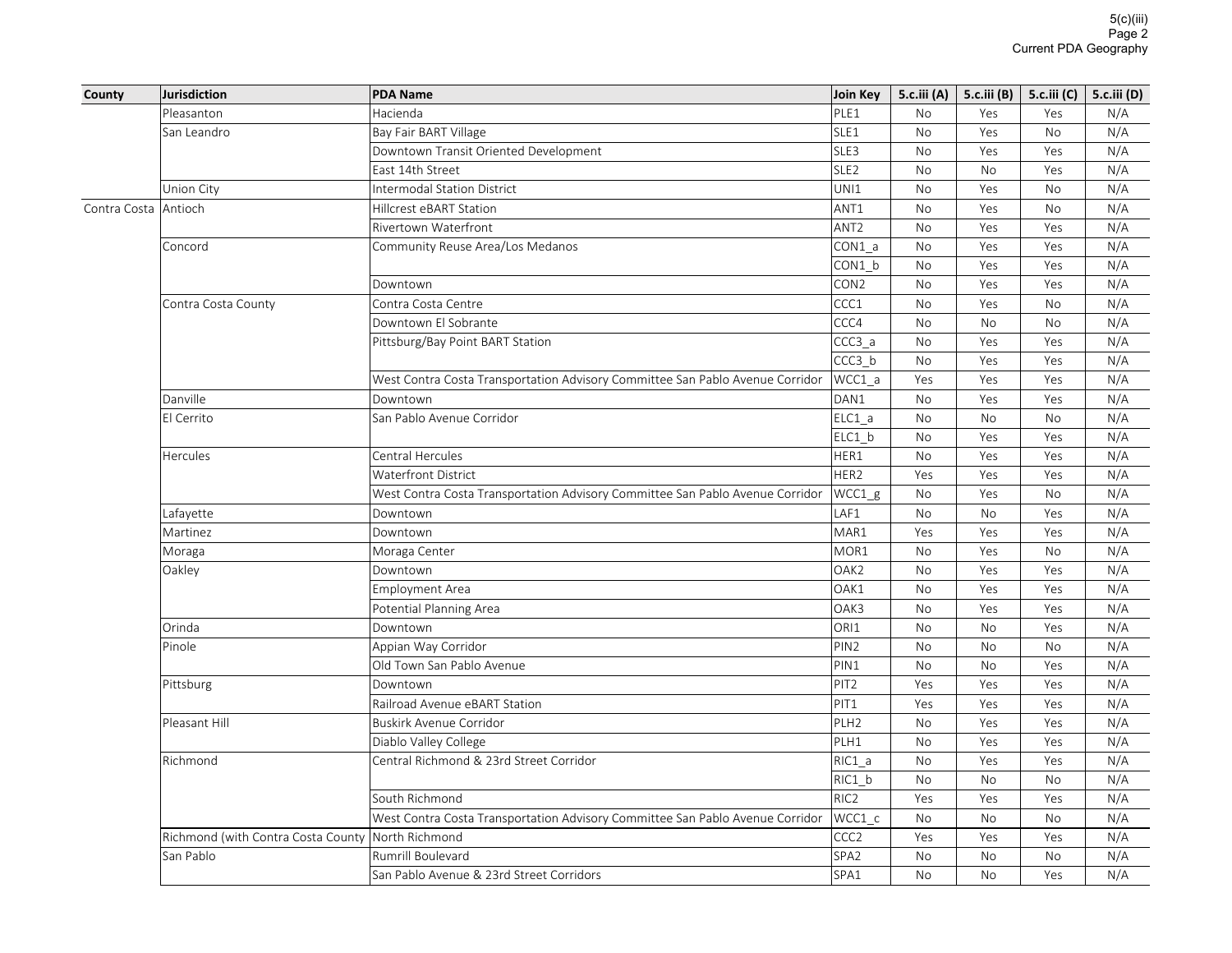| Hacienda<br>PLE1<br>Pleasanton<br>N/A<br><b>No</b><br>Yes<br>Yes<br>SLE1<br><b>No</b><br>N/A<br>San Leandro<br>Bay Fair BART Village<br>Yes<br><b>No</b><br>SLE3<br>No<br>Yes<br>N/A<br>Downtown Transit Oriented Development<br>Yes<br>SLE <sub>2</sub><br>N/A<br>East 14th Street<br>No<br><b>No</b><br>Yes<br>UNI1<br>N/A<br>Union City<br><b>Intermodal Station District</b><br>No<br>Yes<br><b>No</b><br>N/A<br>Antioch<br>ANT1<br><b>No</b><br>Yes<br>Contra Costa<br>Hillcrest eBART Station<br><b>No</b><br>Rivertown Waterfront<br>ANT <sub>2</sub><br>No<br>Yes<br>N/A<br>Yes<br>CON1 a<br>No<br>Yes<br>Yes<br>N/A<br>Concord<br>Community Reuse Area/Los Medanos<br>N/A<br>CON1 b<br>No<br>Yes<br>Yes<br>CON <sub>2</sub><br>N/A<br>Downtown<br>No<br>Yes<br>Yes<br>Contra Costa Centre<br>CCC1<br>No<br>N/A<br>Contra Costa County<br>Yes<br>No<br>CCC4<br>Downtown El Sobrante<br>No<br><b>No</b><br>N/A<br>No<br>CCC3 a<br>N/A<br>Pittsburg/Bay Point BART Station<br><b>No</b><br>Yes<br>Yes<br>CCC3 b<br>N/A<br>No<br>Yes<br>Yes<br>N/A<br>West Contra Costa Transportation Advisory Committee San Pablo Avenue Corridor<br>WCC1 a<br>Yes<br>Yes<br>Yes<br>Danville<br>DAN1<br>No<br>Yes<br>Yes<br>N/A<br>Downtown<br>San Pablo Avenue Corridor<br>N/A<br>El Cerrito<br>ELC1 a<br>No<br>No<br>No<br>ELC1 b<br><b>No</b><br>N/A<br>Yes<br>Yes<br>Central Hercules<br>HER1<br>N/A<br>Hercules<br>No<br>Yes<br>Yes<br><b>Waterfront District</b><br>HER2<br>Yes<br>N/A<br>Yes<br>Yes<br>WCC1_g<br>N/A<br>West Contra Costa Transportation Advisory Committee San Pablo Avenue Corridor<br>No<br>Yes<br><b>No</b><br>LAF1<br>N/A<br>Lafayette<br><b>No</b><br><b>No</b><br>Yes<br>Downtown<br>MAR1<br>Martinez<br>Yes<br>Yes<br>N/A<br>Downtown<br>Yes<br>N/A<br>MOR1<br>Moraga Center<br><b>No</b><br>Yes<br><b>No</b><br>Moraga<br>OAK2<br>N/A<br>Oakley<br>Downtown<br>No<br>Yes<br>Yes<br>OAK1<br>No<br>Yes<br>Yes<br>N/A<br><b>Employment Area</b><br>OAK3<br>N/A<br>No<br>Yes<br>Yes<br>Potential Planning Area<br>ORI1<br>N/A<br>Orinda<br>Downtown<br>No<br><b>No</b><br>Yes<br>PIN <sub>2</sub><br>N/A<br>Pinole<br>Appian Way Corridor<br>No<br><b>No</b><br>No<br>Old Town San Pablo Avenue<br>PIN1<br>N/A<br>No<br><b>No</b><br>Yes<br>PIT <sub>2</sub><br>N/A<br>Pittsburg<br>Downtown<br>Yes<br>Yes<br>Yes<br>PIT1<br>N/A<br>Railroad Avenue eBART Station<br>Yes<br>Yes<br>Yes<br>N/A<br>Pleasant Hill<br>Buskirk Avenue Corridor<br>PLH <sub>2</sub><br><b>No</b><br>Yes<br>Yes<br>PLH1<br>No<br>Yes<br>N/A<br>Diablo Valley College<br>Yes<br>Central Richmond & 23rd Street Corridor<br>N/A<br>Richmond<br>RIC1 a<br>No<br>Yes<br>Yes<br>N/A<br>RIC1 b<br>No<br><b>No</b><br>No<br>RIC <sub>2</sub><br>N/A<br>South Richmond<br>Yes<br>Yes<br>Yes<br>West Contra Costa Transportation Advisory Committee San Pablo Avenue Corridor<br>WCC1 c<br>No<br><b>No</b><br>N/A<br>No<br>CCC <sub>2</sub><br>Richmond (with Contra Costa County North Richmond<br>Yes<br>Yes<br>N/A<br>Yes<br>SPA <sub>2</sub><br>San Pablo<br><b>Rumrill Boulevard</b><br>No<br>N/A<br><b>No</b><br>No<br>SPA1<br>N/A<br>San Pablo Avenue & 23rd Street Corridors<br><b>No</b><br><b>No</b><br>Yes | County | Jurisdiction | <b>PDA Name</b> | Join Key | 5. $c$ .iii (A) | 5.c.iii (B) | 5.c.iii (C) | 5.c.iii (D) |
|----------------------------------------------------------------------------------------------------------------------------------------------------------------------------------------------------------------------------------------------------------------------------------------------------------------------------------------------------------------------------------------------------------------------------------------------------------------------------------------------------------------------------------------------------------------------------------------------------------------------------------------------------------------------------------------------------------------------------------------------------------------------------------------------------------------------------------------------------------------------------------------------------------------------------------------------------------------------------------------------------------------------------------------------------------------------------------------------------------------------------------------------------------------------------------------------------------------------------------------------------------------------------------------------------------------------------------------------------------------------------------------------------------------------------------------------------------------------------------------------------------------------------------------------------------------------------------------------------------------------------------------------------------------------------------------------------------------------------------------------------------------------------------------------------------------------------------------------------------------------------------------------------------------------------------------------------------------------------------------------------------------------------------------------------------------------------------------------------------------------------------------------------------------------------------------------------------------------------------------------------------------------------------------------------------------------------------------------------------------------------------------------------------------------------------------------------------------------------------------------------------------------------------------------------------------------------------------------------------------------------------------------------------------------------------------------------------------------------------------------------------------------------------------------------------------------------------------------------------------------------------------------------------------------------------------------------------------------------------------------------------------------------------------------------------------------------------------------------------------------------------------------------------------------------------------------------------|--------|--------------|-----------------|----------|-----------------|-------------|-------------|-------------|
|                                                                                                                                                                                                                                                                                                                                                                                                                                                                                                                                                                                                                                                                                                                                                                                                                                                                                                                                                                                                                                                                                                                                                                                                                                                                                                                                                                                                                                                                                                                                                                                                                                                                                                                                                                                                                                                                                                                                                                                                                                                                                                                                                                                                                                                                                                                                                                                                                                                                                                                                                                                                                                                                                                                                                                                                                                                                                                                                                                                                                                                                                                                                                                                                          |        |              |                 |          |                 |             |             |             |
|                                                                                                                                                                                                                                                                                                                                                                                                                                                                                                                                                                                                                                                                                                                                                                                                                                                                                                                                                                                                                                                                                                                                                                                                                                                                                                                                                                                                                                                                                                                                                                                                                                                                                                                                                                                                                                                                                                                                                                                                                                                                                                                                                                                                                                                                                                                                                                                                                                                                                                                                                                                                                                                                                                                                                                                                                                                                                                                                                                                                                                                                                                                                                                                                          |        |              |                 |          |                 |             |             |             |
|                                                                                                                                                                                                                                                                                                                                                                                                                                                                                                                                                                                                                                                                                                                                                                                                                                                                                                                                                                                                                                                                                                                                                                                                                                                                                                                                                                                                                                                                                                                                                                                                                                                                                                                                                                                                                                                                                                                                                                                                                                                                                                                                                                                                                                                                                                                                                                                                                                                                                                                                                                                                                                                                                                                                                                                                                                                                                                                                                                                                                                                                                                                                                                                                          |        |              |                 |          |                 |             |             |             |
|                                                                                                                                                                                                                                                                                                                                                                                                                                                                                                                                                                                                                                                                                                                                                                                                                                                                                                                                                                                                                                                                                                                                                                                                                                                                                                                                                                                                                                                                                                                                                                                                                                                                                                                                                                                                                                                                                                                                                                                                                                                                                                                                                                                                                                                                                                                                                                                                                                                                                                                                                                                                                                                                                                                                                                                                                                                                                                                                                                                                                                                                                                                                                                                                          |        |              |                 |          |                 |             |             |             |
|                                                                                                                                                                                                                                                                                                                                                                                                                                                                                                                                                                                                                                                                                                                                                                                                                                                                                                                                                                                                                                                                                                                                                                                                                                                                                                                                                                                                                                                                                                                                                                                                                                                                                                                                                                                                                                                                                                                                                                                                                                                                                                                                                                                                                                                                                                                                                                                                                                                                                                                                                                                                                                                                                                                                                                                                                                                                                                                                                                                                                                                                                                                                                                                                          |        |              |                 |          |                 |             |             |             |
|                                                                                                                                                                                                                                                                                                                                                                                                                                                                                                                                                                                                                                                                                                                                                                                                                                                                                                                                                                                                                                                                                                                                                                                                                                                                                                                                                                                                                                                                                                                                                                                                                                                                                                                                                                                                                                                                                                                                                                                                                                                                                                                                                                                                                                                                                                                                                                                                                                                                                                                                                                                                                                                                                                                                                                                                                                                                                                                                                                                                                                                                                                                                                                                                          |        |              |                 |          |                 |             |             |             |
|                                                                                                                                                                                                                                                                                                                                                                                                                                                                                                                                                                                                                                                                                                                                                                                                                                                                                                                                                                                                                                                                                                                                                                                                                                                                                                                                                                                                                                                                                                                                                                                                                                                                                                                                                                                                                                                                                                                                                                                                                                                                                                                                                                                                                                                                                                                                                                                                                                                                                                                                                                                                                                                                                                                                                                                                                                                                                                                                                                                                                                                                                                                                                                                                          |        |              |                 |          |                 |             |             |             |
|                                                                                                                                                                                                                                                                                                                                                                                                                                                                                                                                                                                                                                                                                                                                                                                                                                                                                                                                                                                                                                                                                                                                                                                                                                                                                                                                                                                                                                                                                                                                                                                                                                                                                                                                                                                                                                                                                                                                                                                                                                                                                                                                                                                                                                                                                                                                                                                                                                                                                                                                                                                                                                                                                                                                                                                                                                                                                                                                                                                                                                                                                                                                                                                                          |        |              |                 |          |                 |             |             |             |
|                                                                                                                                                                                                                                                                                                                                                                                                                                                                                                                                                                                                                                                                                                                                                                                                                                                                                                                                                                                                                                                                                                                                                                                                                                                                                                                                                                                                                                                                                                                                                                                                                                                                                                                                                                                                                                                                                                                                                                                                                                                                                                                                                                                                                                                                                                                                                                                                                                                                                                                                                                                                                                                                                                                                                                                                                                                                                                                                                                                                                                                                                                                                                                                                          |        |              |                 |          |                 |             |             |             |
|                                                                                                                                                                                                                                                                                                                                                                                                                                                                                                                                                                                                                                                                                                                                                                                                                                                                                                                                                                                                                                                                                                                                                                                                                                                                                                                                                                                                                                                                                                                                                                                                                                                                                                                                                                                                                                                                                                                                                                                                                                                                                                                                                                                                                                                                                                                                                                                                                                                                                                                                                                                                                                                                                                                                                                                                                                                                                                                                                                                                                                                                                                                                                                                                          |        |              |                 |          |                 |             |             |             |
|                                                                                                                                                                                                                                                                                                                                                                                                                                                                                                                                                                                                                                                                                                                                                                                                                                                                                                                                                                                                                                                                                                                                                                                                                                                                                                                                                                                                                                                                                                                                                                                                                                                                                                                                                                                                                                                                                                                                                                                                                                                                                                                                                                                                                                                                                                                                                                                                                                                                                                                                                                                                                                                                                                                                                                                                                                                                                                                                                                                                                                                                                                                                                                                                          |        |              |                 |          |                 |             |             |             |
|                                                                                                                                                                                                                                                                                                                                                                                                                                                                                                                                                                                                                                                                                                                                                                                                                                                                                                                                                                                                                                                                                                                                                                                                                                                                                                                                                                                                                                                                                                                                                                                                                                                                                                                                                                                                                                                                                                                                                                                                                                                                                                                                                                                                                                                                                                                                                                                                                                                                                                                                                                                                                                                                                                                                                                                                                                                                                                                                                                                                                                                                                                                                                                                                          |        |              |                 |          |                 |             |             |             |
|                                                                                                                                                                                                                                                                                                                                                                                                                                                                                                                                                                                                                                                                                                                                                                                                                                                                                                                                                                                                                                                                                                                                                                                                                                                                                                                                                                                                                                                                                                                                                                                                                                                                                                                                                                                                                                                                                                                                                                                                                                                                                                                                                                                                                                                                                                                                                                                                                                                                                                                                                                                                                                                                                                                                                                                                                                                                                                                                                                                                                                                                                                                                                                                                          |        |              |                 |          |                 |             |             |             |
|                                                                                                                                                                                                                                                                                                                                                                                                                                                                                                                                                                                                                                                                                                                                                                                                                                                                                                                                                                                                                                                                                                                                                                                                                                                                                                                                                                                                                                                                                                                                                                                                                                                                                                                                                                                                                                                                                                                                                                                                                                                                                                                                                                                                                                                                                                                                                                                                                                                                                                                                                                                                                                                                                                                                                                                                                                                                                                                                                                                                                                                                                                                                                                                                          |        |              |                 |          |                 |             |             |             |
|                                                                                                                                                                                                                                                                                                                                                                                                                                                                                                                                                                                                                                                                                                                                                                                                                                                                                                                                                                                                                                                                                                                                                                                                                                                                                                                                                                                                                                                                                                                                                                                                                                                                                                                                                                                                                                                                                                                                                                                                                                                                                                                                                                                                                                                                                                                                                                                                                                                                                                                                                                                                                                                                                                                                                                                                                                                                                                                                                                                                                                                                                                                                                                                                          |        |              |                 |          |                 |             |             |             |
|                                                                                                                                                                                                                                                                                                                                                                                                                                                                                                                                                                                                                                                                                                                                                                                                                                                                                                                                                                                                                                                                                                                                                                                                                                                                                                                                                                                                                                                                                                                                                                                                                                                                                                                                                                                                                                                                                                                                                                                                                                                                                                                                                                                                                                                                                                                                                                                                                                                                                                                                                                                                                                                                                                                                                                                                                                                                                                                                                                                                                                                                                                                                                                                                          |        |              |                 |          |                 |             |             |             |
|                                                                                                                                                                                                                                                                                                                                                                                                                                                                                                                                                                                                                                                                                                                                                                                                                                                                                                                                                                                                                                                                                                                                                                                                                                                                                                                                                                                                                                                                                                                                                                                                                                                                                                                                                                                                                                                                                                                                                                                                                                                                                                                                                                                                                                                                                                                                                                                                                                                                                                                                                                                                                                                                                                                                                                                                                                                                                                                                                                                                                                                                                                                                                                                                          |        |              |                 |          |                 |             |             |             |
|                                                                                                                                                                                                                                                                                                                                                                                                                                                                                                                                                                                                                                                                                                                                                                                                                                                                                                                                                                                                                                                                                                                                                                                                                                                                                                                                                                                                                                                                                                                                                                                                                                                                                                                                                                                                                                                                                                                                                                                                                                                                                                                                                                                                                                                                                                                                                                                                                                                                                                                                                                                                                                                                                                                                                                                                                                                                                                                                                                                                                                                                                                                                                                                                          |        |              |                 |          |                 |             |             |             |
|                                                                                                                                                                                                                                                                                                                                                                                                                                                                                                                                                                                                                                                                                                                                                                                                                                                                                                                                                                                                                                                                                                                                                                                                                                                                                                                                                                                                                                                                                                                                                                                                                                                                                                                                                                                                                                                                                                                                                                                                                                                                                                                                                                                                                                                                                                                                                                                                                                                                                                                                                                                                                                                                                                                                                                                                                                                                                                                                                                                                                                                                                                                                                                                                          |        |              |                 |          |                 |             |             |             |
|                                                                                                                                                                                                                                                                                                                                                                                                                                                                                                                                                                                                                                                                                                                                                                                                                                                                                                                                                                                                                                                                                                                                                                                                                                                                                                                                                                                                                                                                                                                                                                                                                                                                                                                                                                                                                                                                                                                                                                                                                                                                                                                                                                                                                                                                                                                                                                                                                                                                                                                                                                                                                                                                                                                                                                                                                                                                                                                                                                                                                                                                                                                                                                                                          |        |              |                 |          |                 |             |             |             |
|                                                                                                                                                                                                                                                                                                                                                                                                                                                                                                                                                                                                                                                                                                                                                                                                                                                                                                                                                                                                                                                                                                                                                                                                                                                                                                                                                                                                                                                                                                                                                                                                                                                                                                                                                                                                                                                                                                                                                                                                                                                                                                                                                                                                                                                                                                                                                                                                                                                                                                                                                                                                                                                                                                                                                                                                                                                                                                                                                                                                                                                                                                                                                                                                          |        |              |                 |          |                 |             |             |             |
|                                                                                                                                                                                                                                                                                                                                                                                                                                                                                                                                                                                                                                                                                                                                                                                                                                                                                                                                                                                                                                                                                                                                                                                                                                                                                                                                                                                                                                                                                                                                                                                                                                                                                                                                                                                                                                                                                                                                                                                                                                                                                                                                                                                                                                                                                                                                                                                                                                                                                                                                                                                                                                                                                                                                                                                                                                                                                                                                                                                                                                                                                                                                                                                                          |        |              |                 |          |                 |             |             |             |
|                                                                                                                                                                                                                                                                                                                                                                                                                                                                                                                                                                                                                                                                                                                                                                                                                                                                                                                                                                                                                                                                                                                                                                                                                                                                                                                                                                                                                                                                                                                                                                                                                                                                                                                                                                                                                                                                                                                                                                                                                                                                                                                                                                                                                                                                                                                                                                                                                                                                                                                                                                                                                                                                                                                                                                                                                                                                                                                                                                                                                                                                                                                                                                                                          |        |              |                 |          |                 |             |             |             |
|                                                                                                                                                                                                                                                                                                                                                                                                                                                                                                                                                                                                                                                                                                                                                                                                                                                                                                                                                                                                                                                                                                                                                                                                                                                                                                                                                                                                                                                                                                                                                                                                                                                                                                                                                                                                                                                                                                                                                                                                                                                                                                                                                                                                                                                                                                                                                                                                                                                                                                                                                                                                                                                                                                                                                                                                                                                                                                                                                                                                                                                                                                                                                                                                          |        |              |                 |          |                 |             |             |             |
|                                                                                                                                                                                                                                                                                                                                                                                                                                                                                                                                                                                                                                                                                                                                                                                                                                                                                                                                                                                                                                                                                                                                                                                                                                                                                                                                                                                                                                                                                                                                                                                                                                                                                                                                                                                                                                                                                                                                                                                                                                                                                                                                                                                                                                                                                                                                                                                                                                                                                                                                                                                                                                                                                                                                                                                                                                                                                                                                                                                                                                                                                                                                                                                                          |        |              |                 |          |                 |             |             |             |
|                                                                                                                                                                                                                                                                                                                                                                                                                                                                                                                                                                                                                                                                                                                                                                                                                                                                                                                                                                                                                                                                                                                                                                                                                                                                                                                                                                                                                                                                                                                                                                                                                                                                                                                                                                                                                                                                                                                                                                                                                                                                                                                                                                                                                                                                                                                                                                                                                                                                                                                                                                                                                                                                                                                                                                                                                                                                                                                                                                                                                                                                                                                                                                                                          |        |              |                 |          |                 |             |             |             |
|                                                                                                                                                                                                                                                                                                                                                                                                                                                                                                                                                                                                                                                                                                                                                                                                                                                                                                                                                                                                                                                                                                                                                                                                                                                                                                                                                                                                                                                                                                                                                                                                                                                                                                                                                                                                                                                                                                                                                                                                                                                                                                                                                                                                                                                                                                                                                                                                                                                                                                                                                                                                                                                                                                                                                                                                                                                                                                                                                                                                                                                                                                                                                                                                          |        |              |                 |          |                 |             |             |             |
|                                                                                                                                                                                                                                                                                                                                                                                                                                                                                                                                                                                                                                                                                                                                                                                                                                                                                                                                                                                                                                                                                                                                                                                                                                                                                                                                                                                                                                                                                                                                                                                                                                                                                                                                                                                                                                                                                                                                                                                                                                                                                                                                                                                                                                                                                                                                                                                                                                                                                                                                                                                                                                                                                                                                                                                                                                                                                                                                                                                                                                                                                                                                                                                                          |        |              |                 |          |                 |             |             |             |
|                                                                                                                                                                                                                                                                                                                                                                                                                                                                                                                                                                                                                                                                                                                                                                                                                                                                                                                                                                                                                                                                                                                                                                                                                                                                                                                                                                                                                                                                                                                                                                                                                                                                                                                                                                                                                                                                                                                                                                                                                                                                                                                                                                                                                                                                                                                                                                                                                                                                                                                                                                                                                                                                                                                                                                                                                                                                                                                                                                                                                                                                                                                                                                                                          |        |              |                 |          |                 |             |             |             |
|                                                                                                                                                                                                                                                                                                                                                                                                                                                                                                                                                                                                                                                                                                                                                                                                                                                                                                                                                                                                                                                                                                                                                                                                                                                                                                                                                                                                                                                                                                                                                                                                                                                                                                                                                                                                                                                                                                                                                                                                                                                                                                                                                                                                                                                                                                                                                                                                                                                                                                                                                                                                                                                                                                                                                                                                                                                                                                                                                                                                                                                                                                                                                                                                          |        |              |                 |          |                 |             |             |             |
|                                                                                                                                                                                                                                                                                                                                                                                                                                                                                                                                                                                                                                                                                                                                                                                                                                                                                                                                                                                                                                                                                                                                                                                                                                                                                                                                                                                                                                                                                                                                                                                                                                                                                                                                                                                                                                                                                                                                                                                                                                                                                                                                                                                                                                                                                                                                                                                                                                                                                                                                                                                                                                                                                                                                                                                                                                                                                                                                                                                                                                                                                                                                                                                                          |        |              |                 |          |                 |             |             |             |
|                                                                                                                                                                                                                                                                                                                                                                                                                                                                                                                                                                                                                                                                                                                                                                                                                                                                                                                                                                                                                                                                                                                                                                                                                                                                                                                                                                                                                                                                                                                                                                                                                                                                                                                                                                                                                                                                                                                                                                                                                                                                                                                                                                                                                                                                                                                                                                                                                                                                                                                                                                                                                                                                                                                                                                                                                                                                                                                                                                                                                                                                                                                                                                                                          |        |              |                 |          |                 |             |             |             |
|                                                                                                                                                                                                                                                                                                                                                                                                                                                                                                                                                                                                                                                                                                                                                                                                                                                                                                                                                                                                                                                                                                                                                                                                                                                                                                                                                                                                                                                                                                                                                                                                                                                                                                                                                                                                                                                                                                                                                                                                                                                                                                                                                                                                                                                                                                                                                                                                                                                                                                                                                                                                                                                                                                                                                                                                                                                                                                                                                                                                                                                                                                                                                                                                          |        |              |                 |          |                 |             |             |             |
|                                                                                                                                                                                                                                                                                                                                                                                                                                                                                                                                                                                                                                                                                                                                                                                                                                                                                                                                                                                                                                                                                                                                                                                                                                                                                                                                                                                                                                                                                                                                                                                                                                                                                                                                                                                                                                                                                                                                                                                                                                                                                                                                                                                                                                                                                                                                                                                                                                                                                                                                                                                                                                                                                                                                                                                                                                                                                                                                                                                                                                                                                                                                                                                                          |        |              |                 |          |                 |             |             |             |
|                                                                                                                                                                                                                                                                                                                                                                                                                                                                                                                                                                                                                                                                                                                                                                                                                                                                                                                                                                                                                                                                                                                                                                                                                                                                                                                                                                                                                                                                                                                                                                                                                                                                                                                                                                                                                                                                                                                                                                                                                                                                                                                                                                                                                                                                                                                                                                                                                                                                                                                                                                                                                                                                                                                                                                                                                                                                                                                                                                                                                                                                                                                                                                                                          |        |              |                 |          |                 |             |             |             |
|                                                                                                                                                                                                                                                                                                                                                                                                                                                                                                                                                                                                                                                                                                                                                                                                                                                                                                                                                                                                                                                                                                                                                                                                                                                                                                                                                                                                                                                                                                                                                                                                                                                                                                                                                                                                                                                                                                                                                                                                                                                                                                                                                                                                                                                                                                                                                                                                                                                                                                                                                                                                                                                                                                                                                                                                                                                                                                                                                                                                                                                                                                                                                                                                          |        |              |                 |          |                 |             |             |             |
|                                                                                                                                                                                                                                                                                                                                                                                                                                                                                                                                                                                                                                                                                                                                                                                                                                                                                                                                                                                                                                                                                                                                                                                                                                                                                                                                                                                                                                                                                                                                                                                                                                                                                                                                                                                                                                                                                                                                                                                                                                                                                                                                                                                                                                                                                                                                                                                                                                                                                                                                                                                                                                                                                                                                                                                                                                                                                                                                                                                                                                                                                                                                                                                                          |        |              |                 |          |                 |             |             |             |
|                                                                                                                                                                                                                                                                                                                                                                                                                                                                                                                                                                                                                                                                                                                                                                                                                                                                                                                                                                                                                                                                                                                                                                                                                                                                                                                                                                                                                                                                                                                                                                                                                                                                                                                                                                                                                                                                                                                                                                                                                                                                                                                                                                                                                                                                                                                                                                                                                                                                                                                                                                                                                                                                                                                                                                                                                                                                                                                                                                                                                                                                                                                                                                                                          |        |              |                 |          |                 |             |             |             |
|                                                                                                                                                                                                                                                                                                                                                                                                                                                                                                                                                                                                                                                                                                                                                                                                                                                                                                                                                                                                                                                                                                                                                                                                                                                                                                                                                                                                                                                                                                                                                                                                                                                                                                                                                                                                                                                                                                                                                                                                                                                                                                                                                                                                                                                                                                                                                                                                                                                                                                                                                                                                                                                                                                                                                                                                                                                                                                                                                                                                                                                                                                                                                                                                          |        |              |                 |          |                 |             |             |             |
|                                                                                                                                                                                                                                                                                                                                                                                                                                                                                                                                                                                                                                                                                                                                                                                                                                                                                                                                                                                                                                                                                                                                                                                                                                                                                                                                                                                                                                                                                                                                                                                                                                                                                                                                                                                                                                                                                                                                                                                                                                                                                                                                                                                                                                                                                                                                                                                                                                                                                                                                                                                                                                                                                                                                                                                                                                                                                                                                                                                                                                                                                                                                                                                                          |        |              |                 |          |                 |             |             |             |
|                                                                                                                                                                                                                                                                                                                                                                                                                                                                                                                                                                                                                                                                                                                                                                                                                                                                                                                                                                                                                                                                                                                                                                                                                                                                                                                                                                                                                                                                                                                                                                                                                                                                                                                                                                                                                                                                                                                                                                                                                                                                                                                                                                                                                                                                                                                                                                                                                                                                                                                                                                                                                                                                                                                                                                                                                                                                                                                                                                                                                                                                                                                                                                                                          |        |              |                 |          |                 |             |             |             |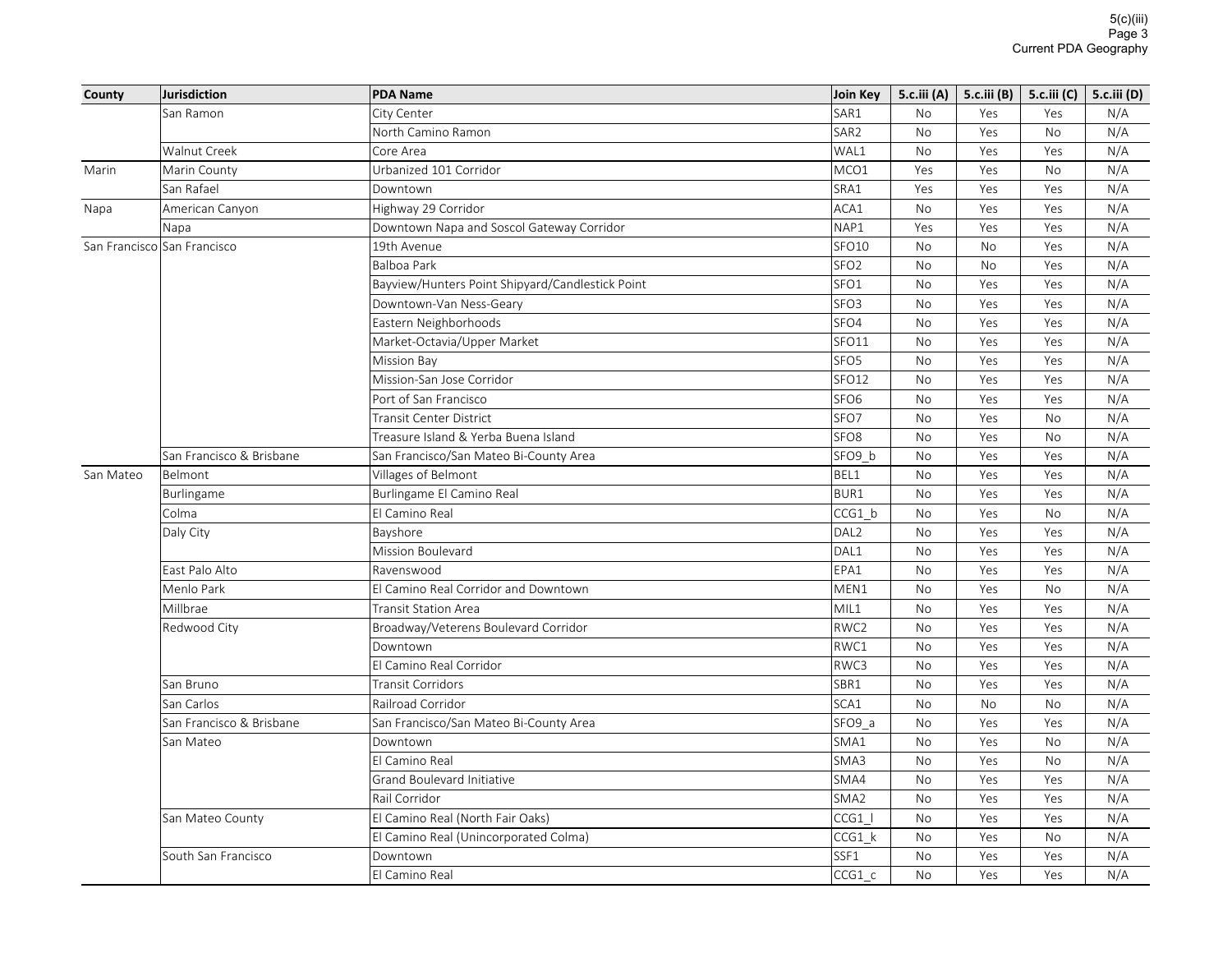| SAR1<br>City Center<br><b>No</b><br>Yes<br>San Ramon<br>Yes<br>North Camino Ramon<br>SAR <sub>2</sub><br>No<br>Yes<br>No | N/A<br>N/A |
|--------------------------------------------------------------------------------------------------------------------------|------------|
|                                                                                                                          |            |
|                                                                                                                          |            |
| Walnut Creek<br>WAL1<br>No<br>Yes<br>Core Area<br>Yes                                                                    | N/A        |
| MCO1<br>Marin County<br>Urbanized 101 Corridor<br>Yes<br>Yes<br><b>No</b><br>Marin                                       | N/A        |
| San Rafael<br>SRA1<br>Downtown<br>Yes<br>Yes<br>Yes                                                                      | N/A        |
| ACA1<br>Highway 29 Corridor<br>American Canyon<br>No<br>Yes<br>Yes<br>Napa                                               | N/A        |
| NAP1<br>Downtown Napa and Soscol Gateway Corridor<br>Yes<br>Yes<br>Yes<br>Napa                                           | N/A        |
| SFO10<br><b>No</b><br>San Francisco San Francisco<br>19th Avenue<br><b>No</b><br>Yes                                     | N/A        |
| SFO <sub>2</sub><br><b>Balboa Park</b><br>No<br>Yes<br>No                                                                | N/A        |
| SFO1<br>Bayview/Hunters Point Shipyard/Candlestick Point<br>No<br>Yes<br>Yes                                             | N/A        |
| SFO <sub>3</sub><br>Downtown-Van Ness-Geary<br>No<br>Yes<br>Yes                                                          | N/A        |
| Eastern Neighborhoods<br>SFO4<br>No<br>Yes<br>Yes                                                                        | N/A        |
| SFO11<br>Market-Octavia/Upper Market<br>No<br>Yes<br>Yes                                                                 | N/A        |
| SFO <sub>5</sub><br>No<br>Yes<br>Yes<br><b>Mission Bay</b>                                                               | N/A        |
| SFO12<br>Mission-San Jose Corridor<br>No<br>Yes<br>Yes                                                                   | N/A        |
| Port of San Francisco<br>SFO <sub>6</sub><br><b>No</b><br>Yes<br>Yes                                                     | N/A        |
| SFO7<br>No<br>Transit Center District<br>Yes<br>No                                                                       | N/A        |
| SFO <sub>8</sub><br>Treasure Island & Yerba Buena Island<br><b>No</b><br>Yes<br><b>No</b>                                | N/A        |
| San Francisco & Brisbane<br>SFO9 b<br>San Francisco/San Mateo Bi-County Area<br><b>No</b><br>Yes<br>Yes                  | N/A        |
| BEL1<br>San Mateo<br>Belmont<br>Villages of Belmont<br>No<br>Yes<br>Yes                                                  | N/A        |
| Burlingame El Camino Real<br>BUR1<br>No<br>Yes<br>Yes<br><b>Burlingame</b>                                               | N/A        |
| El Camino Real<br>CCG1 b<br>Colma<br>No<br>Yes<br><b>No</b>                                                              | N/A        |
| DAL <sub>2</sub><br>Daly City<br>Bayshore<br><b>No</b><br>Yes<br>Yes                                                     | N/A        |
| DAL1<br>Mission Boulevard<br>No<br>Yes<br>Yes                                                                            | N/A        |
| EPA1<br>East Palo Alto<br>Ravenswood<br>No<br>Yes<br>Yes                                                                 | N/A        |
| Menlo Park<br>El Camino Real Corridor and Downtown<br>MEN1<br>No<br>Yes<br><b>No</b>                                     | N/A        |
| Millbrae<br>MIL1<br><b>Transit Station Area</b><br>No<br>Yes<br>Yes                                                      | N/A        |
| RWC2<br>Broadway/Veterens Boulevard Corridor<br>Yes<br>Redwood City<br>No<br>Yes                                         | N/A        |
| RWC1<br>Downtown<br><b>No</b><br>Yes<br>Yes                                                                              | N/A        |
| El Camino Real Corridor<br>RWC3<br>Yes<br><b>No</b><br>Yes                                                               | N/A        |
| San Bruno<br><b>Transit Corridors</b><br>SBR1<br>No<br>Yes<br>Yes                                                        | N/A        |
| SCA1<br>San Carlos<br>No<br>Railroad Corridor<br><b>No</b><br>N <sub>o</sub>                                             | N/A        |
| SFO9 a<br>San Francisco & Brisbane<br>San Francisco/San Mateo Bi-County Area<br>No<br>Yes<br>Yes                         | N/A        |
| San Mateo<br>SMA1<br>No<br>Yes<br>No<br>Downtown                                                                         | N/A        |
| SMA3<br>El Camino Real<br>No<br>Yes<br>No                                                                                | N/A        |
| SMA4<br>Grand Boulevard Initiative<br>No<br>Yes<br>Yes                                                                   | N/A        |
| SMA <sub>2</sub><br>Rail Corridor<br>No<br>Yes<br>Yes                                                                    | N/A        |
| El Camino Real (North Fair Oaks)<br>CCG1  <br>No<br>San Mateo County<br>Yes<br>Yes                                       | N/A        |
| CCG1 k<br>Yes<br>El Camino Real (Unincorporated Colma)<br>No<br>No                                                       | N/A        |
| SSF1<br>South San Francisco<br>Downtown<br><b>No</b><br>Yes<br>Yes                                                       | N/A        |
| CCG1 c<br>El Camino Real<br>No<br>Yes<br>Yes                                                                             | N/A        |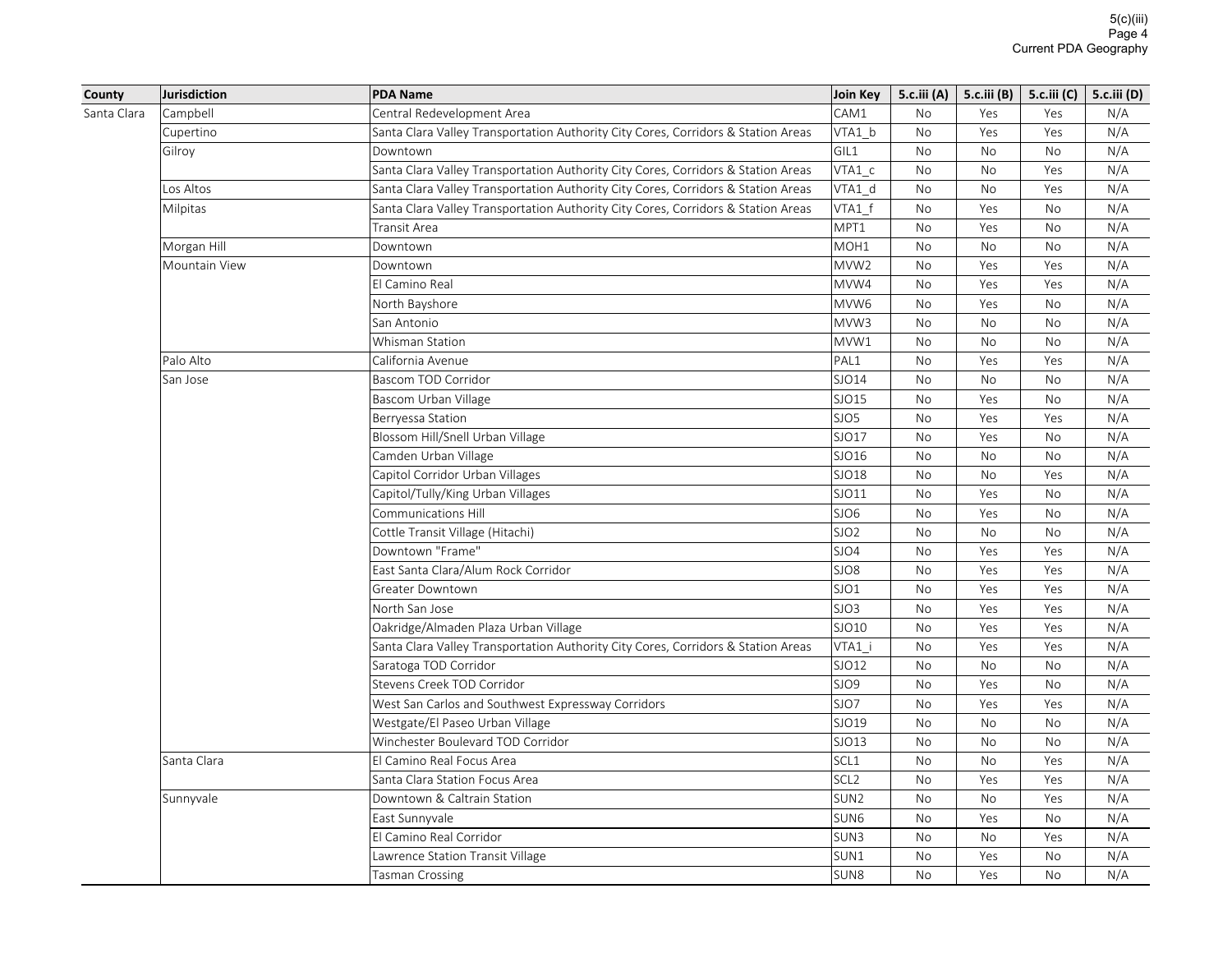| County      | <b>Jurisdiction</b> | <b>PDA Name</b>                                                                   | Join Key         | 5.c.iii (A) $\vert$ |           | 5.c.iii (B)   5.c.iii (C) | 5.c.iii (D) |
|-------------|---------------------|-----------------------------------------------------------------------------------|------------------|---------------------|-----------|---------------------------|-------------|
| Santa Clara | Campbell            | Central Redevelopment Area                                                        | CAM1             | <b>No</b>           | Yes       | Yes                       | N/A         |
|             | Cupertino           | Santa Clara Valley Transportation Authority City Cores, Corridors & Station Areas | VTA1 b           | No                  | Yes       | Yes                       | N/A         |
|             | Gilroy              | Downtown                                                                          | GIL1             | No                  | <b>No</b> | No                        | N/A         |
|             |                     | Santa Clara Valley Transportation Authority City Cores, Corridors & Station Areas | $VTA1_c$         | No                  | No        | Yes                       | N/A         |
|             | Los Altos           | Santa Clara Valley Transportation Authority City Cores, Corridors & Station Areas | VTA1 d           | No                  | No        | Yes                       | N/A         |
|             | Milpitas            | Santa Clara Valley Transportation Authority City Cores, Corridors & Station Areas | VTA1 f           | No                  | Yes       | No                        | N/A         |
|             |                     | Transit Area                                                                      | MPT1             | No                  | Yes       | <b>No</b>                 | N/A         |
|             | Morgan Hill         | Downtown                                                                          | MOH <sub>1</sub> | <b>No</b>           | <b>No</b> | <b>No</b>                 | N/A         |
|             | Mountain View       | Downtown                                                                          | MVW <sub>2</sub> | No                  | Yes       | Yes                       | N/A         |
|             |                     | El Camino Real                                                                    | MVW4             | No                  | Yes       | Yes                       | N/A         |
|             |                     | North Bayshore                                                                    | MVW <sub>6</sub> | No                  | Yes       | <b>No</b>                 | N/A         |
|             |                     | San Antonio                                                                       | MVW3             | No                  | <b>No</b> | No                        | N/A         |
|             |                     | Whisman Station                                                                   | MVW1             | No                  | <b>No</b> | <b>No</b>                 | N/A         |
|             | Palo Alto           | California Avenue                                                                 | PAL1             | No                  | Yes       | Yes                       | N/A         |
|             | San Jose            | Bascom TOD Corridor                                                               | SJO14            | No                  | No        | No                        | N/A         |
|             |                     | Bascom Urban Village                                                              | SJO15            | No                  | Yes       | No                        | N/A         |
|             |                     | Berryessa Station                                                                 | SJO5             | No                  | Yes       | Yes                       | N/A         |
|             |                     | Blossom Hill/Snell Urban Village                                                  | SJO17            | <b>No</b>           | Yes       | <b>No</b>                 | N/A         |
|             |                     | Camden Urban Village                                                              | SJO16            | No                  | No        | No                        | N/A         |
|             |                     | Capitol Corridor Urban Villages                                                   | SJO18            | No                  | <b>No</b> | Yes                       | N/A         |
|             |                     | Capitol/Tully/King Urban Villages                                                 | SJO11            | No                  | Yes       | <b>No</b>                 | N/A         |
|             |                     | Communications Hill                                                               | SJO6             | No                  | Yes       | No                        | N/A         |
|             |                     | Cottle Transit Village (Hitachi)                                                  | SJO <sub>2</sub> | No                  | No        | No                        | N/A         |
|             |                     | Downtown "Frame"                                                                  | SJO4             | No                  | Yes       | Yes                       | N/A         |
|             |                     | East Santa Clara/Alum Rock Corridor                                               | SJO8             | No                  | Yes       | Yes                       | N/A         |
|             |                     | Greater Downtown                                                                  | SJO1             | No                  | Yes       | Yes                       | N/A         |
|             |                     | North San Jose                                                                    | SJO3             | <b>No</b>           | Yes       | Yes                       | N/A         |
|             |                     | Oakridge/Almaden Plaza Urban Village                                              | SJO10            | No                  | Yes       | Yes                       | N/A         |
|             |                     | Santa Clara Valley Transportation Authority City Cores, Corridors & Station Areas | VTA1 i           | No                  | Yes       | Yes                       | N/A         |
|             |                     | Saratoga TOD Corridor                                                             | SJO12            | No                  | No        | No                        | N/A         |
|             |                     | Stevens Creek TOD Corridor                                                        | SJO9             | <b>No</b>           | Yes       | <b>No</b>                 | N/A         |
|             |                     | West San Carlos and Southwest Expressway Corridors                                | SJO7             | No                  | Yes       | Yes                       | N/A         |
|             |                     | Westgate/El Paseo Urban Village                                                   | SJO19            | No                  | <b>No</b> | <b>No</b>                 | N/A         |
|             |                     | Winchester Boulevard TOD Corridor                                                 | SJO13            | No                  | No        | <b>No</b>                 | N/A         |
|             | Santa Clara         | El Camino Real Focus Area                                                         | SCL <sub>1</sub> | No                  | No        | Yes                       | N/A         |
|             |                     | Santa Clara Station Focus Area                                                    | SCL <sub>2</sub> | No                  | Yes       | Yes                       | N/A         |
|             | Sunnyvale           | Downtown & Caltrain Station                                                       | SUN <sub>2</sub> | No                  | No        | Yes                       | N/A         |
|             |                     | East Sunnyvale                                                                    | SUN <sub>6</sub> | No                  | Yes       | No                        | N/A         |
|             |                     | El Camino Real Corridor                                                           | SUN3             | No                  | No        | Yes                       | N/A         |
|             |                     | Lawrence Station Transit Village                                                  | SUN1             | No                  | Yes       | No                        | N/A         |
|             |                     | Tasman Crossing                                                                   | SUN <sub>8</sub> | <b>No</b>           | Yes       | <b>No</b>                 | N/A         |